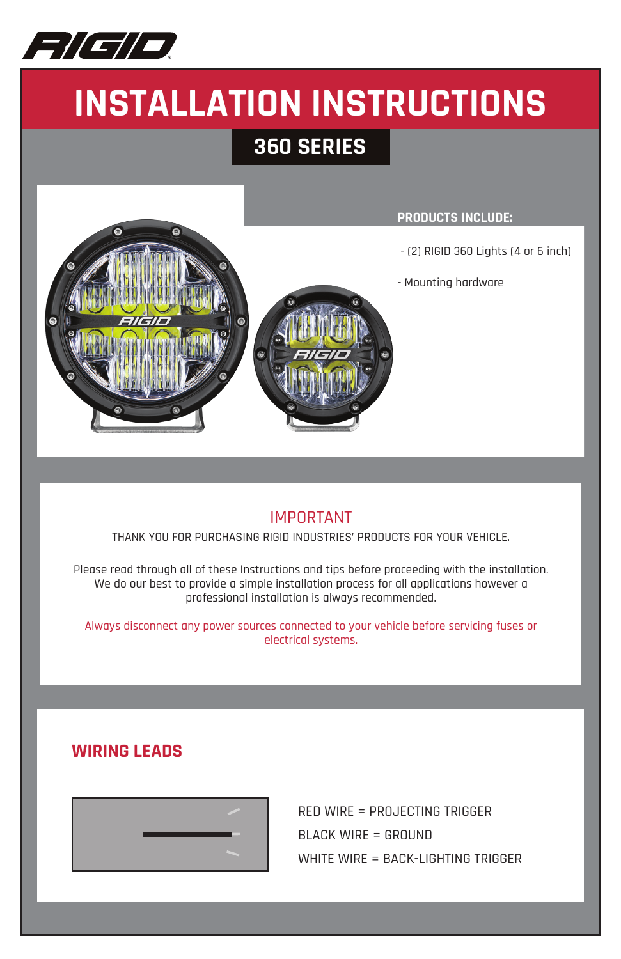

# **INSTALLATION INSTRUCTIONS**

## **360 SERIES**



### **PRODUCTS INCLUDE:**

- (2) RIGID 360 Lights (4 or 6 inch)
- Mounting hardware

### IMPORTANT

THANK YOU FOR PURCHASING RIGID INDUSTRIES' PRODUCTS FOR YOUR VEHICLE.

Please read through all of these Instructions and tips before proceeding with the installation. We do our best to provide a simple installation process for all applications however a professional installation is always recommended.

Always disconnect any power sources connected to your vehicle before servicing fuses or electrical systems.

### **WIRING LEADS**



RED WIRE = PROJECTING TRIGGER BLACK WIRE = GROUND WHITE WIRE = BACK-LIGHTING TRIGGER